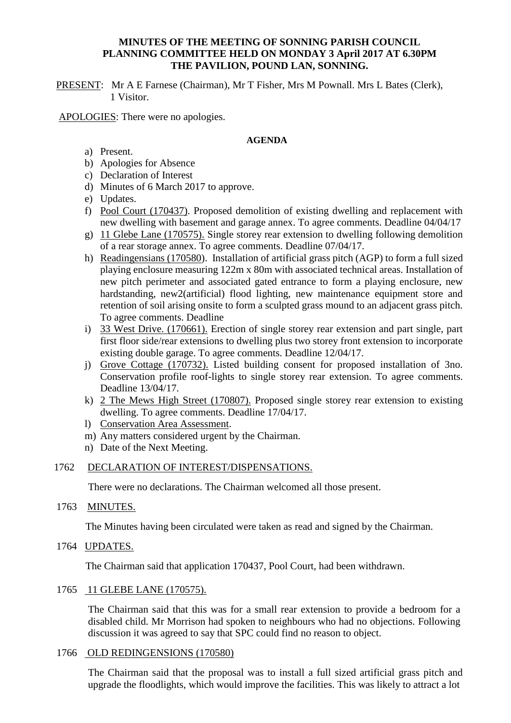### **MINUTES OF THE MEETING OF SONNING PARISH COUNCIL PLANNING COMMITTEE HELD ON MONDAY 3 April 2017 AT 6.30PM THE PAVILION, POUND LAN, SONNING.**

PRESENT: Mr A E Farnese (Chairman), Mr T Fisher, Mrs M Pownall. Mrs L Bates (Clerk), 1 Visitor.

APOLOGIES: There were no apologies.

### **AGENDA**

- a) Present.
- b) Apologies for Absence
- c) Declaration of Interest
- d) Minutes of 6 March 2017 to approve.
- e) Updates.
- f) Pool Court (170437). Proposed demolition of existing dwelling and replacement with new dwelling with basement and garage annex. To agree comments. Deadline 04/04/17
- g) 11 Glebe Lane (170575). Single storey rear extension to dwelling following demolition of a rear storage annex. To agree comments. Deadline 07/04/17.
- h) Readingensians (170580). Installation of artificial grass pitch (AGP) to form a full sized playing enclosure measuring 122m x 80m with associated technical areas. Installation of new pitch perimeter and associated gated entrance to form a playing enclosure, new hardstanding, new2(artificial) flood lighting, new maintenance equipment store and retention of soil arising onsite to form a sculpted grass mound to an adjacent grass pitch. To agree comments. Deadline
- i) 33 West Drive. (170661). Erection of single storey rear extension and part single, part first floor side/rear extensions to dwelling plus two storey front extension to incorporate existing double garage. To agree comments. Deadline 12/04/17.
- j) Grove Cottage (170732). Listed building consent for proposed installation of 3no. Conservation profile roof-lights to single storey rear extension. To agree comments. Deadline 13/04/17.
- k) 2 The Mews High Street (170807). Proposed single storey rear extension to existing dwelling. To agree comments. Deadline 17/04/17.
- l) Conservation Area Assessment.
- m) Any matters considered urgent by the Chairman.
- n) Date of the Next Meeting.

### 1762 DECLARATION OF INTEREST/DISPENSATIONS.

There were no declarations. The Chairman welcomed all those present.

1763 MINUTES.

The Minutes having been circulated were taken as read and signed by the Chairman.

1764 UPDATES.

The Chairman said that application 170437, Pool Court, had been withdrawn.

### 1765 11 GLEBE LANE (170575).

The Chairman said that this was for a small rear extension to provide a bedroom for a disabled child. Mr Morrison had spoken to neighbours who had no objections. Following discussion it was agreed to say that SPC could find no reason to object.

### 1766 OLD REDINGENSIONS (170580)

The Chairman said that the proposal was to install a full sized artificial grass pitch and upgrade the floodlights, which would improve the facilities. This was likely to attract a lot